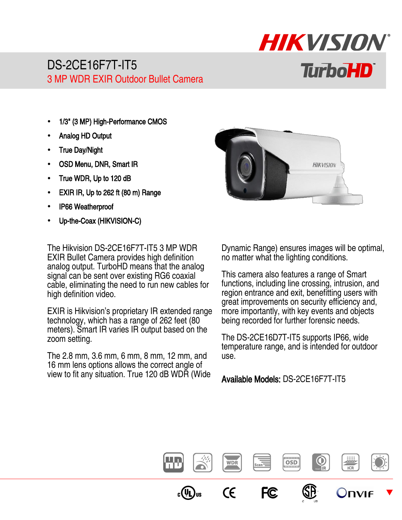## DS-2CE16F7T-IT5 3 MP WDR EXIR Outdoor Bullet Camera

- 1/3" (3 MP) High-Performance CMOS
- Analog HD Output
- True Day/Night
- OSD Menu, DNR, Smart IR
- True WDR, Up to 120 dB
- EXIR IR, Up to 262 ft (80 m) Range
- IP66 Weatherproof
- Up-the-Coax (HIKVISION-C)

The Hikvision DS-2CE16F7T-IT5 3 MP WDR EXIR Bullet Camera provides high definition analog output. TurboHD means that the analog signal can be sent over existing RG6 coaxial cable, eliminating the need to run new cables for high definition video.

EXIR is Hikvision's proprietary IR extended range technology, which has a range of 262 feet (80 meters). Smart IR varies IR output based on the zoom setting.

The 2.8 mm, 3.6 mm, 6 mm, 8 mm, 12 mm, and 16 mm lens options allows the correct angle of view to fit any situation. True 120 dB WDR (Wide



HIKVISION

**TurboHD** 

Dynamic Range) ensures images will be optimal, no matter what the lighting conditions.

This camera also features a range of Smart functions, including line crossing, intrusion, and region entrance and exit, benefitting users with great improvements on security efficiency and, more importantly, with key events and objects being recorded for further forensic needs.

The DS-2CE16D7T-IT5 supports IP66, wide temperature range, and is intended for outdoor use.

Available Models: DS-2CE16F7T-IT5